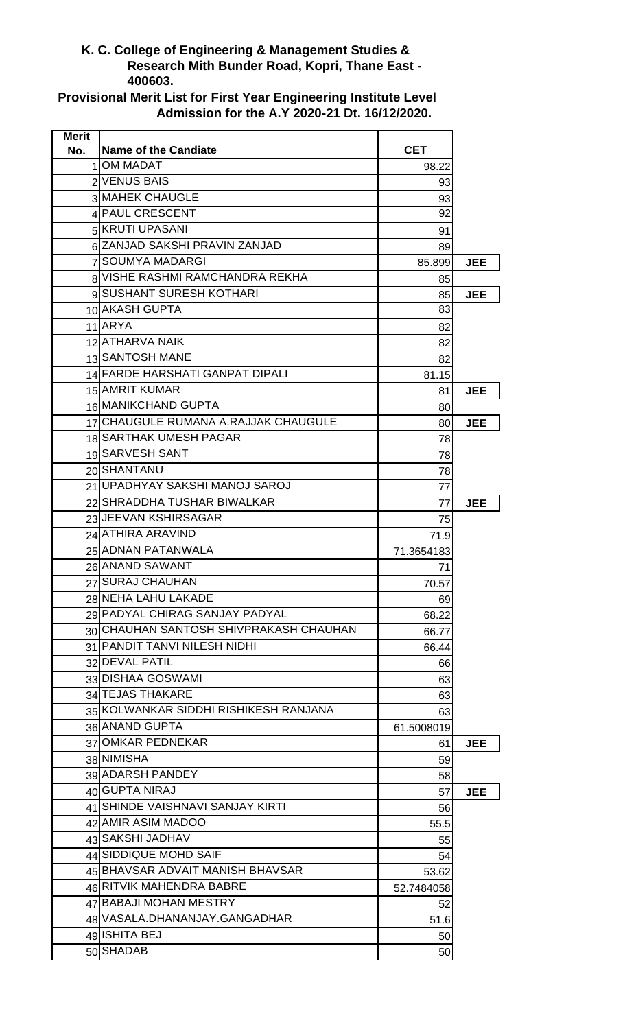## **K. C. College of Engineering & Management Studies & Research Mith Bunder Road, Kopri, Thane East - 400603.**

**Provisional Merit List for First Year Engineering Institute Level Admission for the A.Y 2020-21 Dt. 16/12/2020.**

| <b>Merit</b> |                                        |            |            |
|--------------|----------------------------------------|------------|------------|
| No.          | <b>Name of the Candiate</b>            | <b>CET</b> |            |
| 11           | <b>OM MADAT</b>                        | 98.22      |            |
|              | 2 VENUS BAIS                           | 93         |            |
|              | 3 MAHEK CHAUGLE                        | 93         |            |
|              | 4 PAUL CRESCENT                        | 92         |            |
|              | 5 KRUTI UPASANI                        | 91         |            |
|              | 6 ZANJAD SAKSHI PRAVIN ZANJAD          | 89         |            |
|              | 7 SOUMYA MADARGI                       | 85.899     | <b>JEE</b> |
|              | 8 VISHE RASHMI RAMCHANDRA REKHA        | 85         |            |
|              | 9 SUSHANT SURESH KOTHARI               | 85         | JEE        |
|              | 10 AKASH GUPTA                         | 83         |            |
|              | 11 ARYA                                | 82         |            |
|              | 12 ATHARVA NAIK                        | 82         |            |
|              | 13 SANTOSH MANE                        | 82         |            |
|              | 14 FARDE HARSHATI GANPAT DIPALI        | 81.15      |            |
|              | 15 AMRIT KUMAR                         | 81         | <b>JEE</b> |
|              | 16 MANIKCHAND GUPTA                    | 80         |            |
|              | 17 CHAUGULE RUMANA A.RAJJAK CHAUGULE   | 80         | <b>JEE</b> |
|              | 18 SARTHAK UMESH PAGAR                 | 78         |            |
|              | 19 SARVESH SANT                        | 78         |            |
|              | 20 SHANTANU                            | 78         |            |
|              | 21 UPADHYAY SAKSHI MANOJ SAROJ         | 77         |            |
|              | 22 SHRADDHA TUSHAR BIWALKAR            | 77         | <b>JEE</b> |
|              | 23 JEEVAN KSHIRSAGAR                   | 75         |            |
|              | 24 ATHIRA ARAVIND                      | 71.9       |            |
|              | 25 ADNAN PATANWALA                     | 71.3654183 |            |
|              | 26 ANAND SAWANT                        | 71         |            |
|              | 27 SURAJ CHAUHAN                       | 70.57      |            |
|              | 28 NEHA LAHU LAKADE                    | 69         |            |
|              | 29 PADYAL CHIRAG SANJAY PADYAL         | 68.22      |            |
|              | 30 CHAUHAN SANTOSH SHIVPRAKASH CHAUHAN | 66.77      |            |
|              | 31 PANDIT TANVI NILESH NIDHI           | 66.44      |            |
|              | 32 DEVAL PATIL                         | 66         |            |
|              | 33 DISHAA GOSWAMI                      | 63         |            |
|              | 34 TEJAS THAKARE                       | 63         |            |
|              | 35 KOLWANKAR SIDDHI RISHIKESH RANJANA  | 63         |            |
|              | 36 ANAND GUPTA                         | 61.5008019 |            |
|              | 37 OMKAR PEDNEKAR                      | 61         | <b>JEE</b> |
|              | 38 NIMISHA                             | 59         |            |
|              | 39 ADARSH PANDEY                       | 58         |            |
|              | 40 GUPTA NIRAJ                         | 57         | <b>JEE</b> |
|              | 41 SHINDE VAISHNAVI SANJAY KIRTI       |            |            |
|              | 42 AMIR ASIM MADOO                     | 56         |            |
|              | 43 SAKSHI JADHAV                       | 55.5       |            |
|              | 44 SIDDIQUE MOHD SAIF                  | 55         |            |
|              | 45 BHAVSAR ADVAIT MANISH BHAVSAR       | 54         |            |
|              | 46 RITVIK MAHENDRA BABRE               | 53.62      |            |
|              |                                        | 52.7484058 |            |
|              | 47 BABAJI MOHAN MESTRY                 | 52         |            |
|              | 48 VASALA.DHANANJAY.GANGADHAR          | 51.6       |            |
|              | 49 ISHITA BEJ                          | 50         |            |
|              | 50 SHADAB                              | 50         |            |